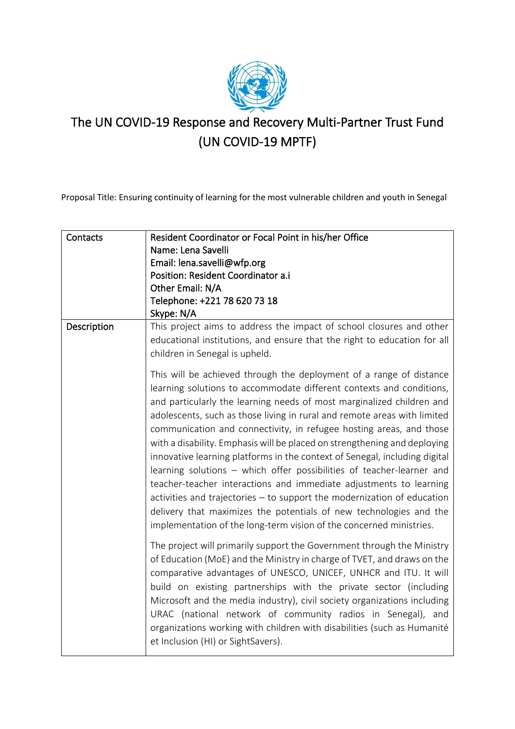

# The UN COVID-19 Response and Recovery Multi-Partner Trust Fund (UN COVID-19 MPTF)

Proposal Title: Ensuring continuity of learning for the most vulnerable children and youth in Senegal

| Contacts    | Resident Coordinator or Focal Point in his/her Office<br>Name: Lena Savelli<br>Email: lena.savelli@wfp.org<br>Position: Resident Coordinator a.i<br>Other Email: N/A<br>Telephone: +221 78 620 73 18<br>Skype: N/A                                                                                                                                                                                                                                                                                                                                                                                                                                                                                                                                                                                                                                                                                                                                                                                                       |
|-------------|--------------------------------------------------------------------------------------------------------------------------------------------------------------------------------------------------------------------------------------------------------------------------------------------------------------------------------------------------------------------------------------------------------------------------------------------------------------------------------------------------------------------------------------------------------------------------------------------------------------------------------------------------------------------------------------------------------------------------------------------------------------------------------------------------------------------------------------------------------------------------------------------------------------------------------------------------------------------------------------------------------------------------|
| Description | This project aims to address the impact of school closures and other<br>educational institutions, and ensure that the right to education for all<br>children in Senegal is upheld.<br>This will be achieved through the deployment of a range of distance<br>learning solutions to accommodate different contexts and conditions,<br>and particularly the learning needs of most marginalized children and<br>adolescents, such as those living in rural and remote areas with limited<br>communication and connectivity, in refugee hosting areas, and those<br>with a disability. Emphasis will be placed on strengthening and deploying<br>innovative learning platforms in the context of Senegal, including digital<br>learning solutions - which offer possibilities of teacher-learner and<br>teacher-teacher interactions and immediate adjustments to learning<br>activities and trajectories - to support the modernization of education<br>delivery that maximizes the potentials of new technologies and the |
|             | implementation of the long-term vision of the concerned ministries.<br>The project will primarily support the Government through the Ministry<br>of Education (MoE) and the Ministry in charge of TVET, and draws on the<br>comparative advantages of UNESCO, UNICEF, UNHCR and ITU. It will<br>build on existing partnerships with the private sector (including<br>Microsoft and the media industry), civil society organizations including<br>URAC (national network of community radios in Senegal), and<br>organizations working with children with disabilities (such as Humanité<br>et Inclusion (HI) or SightSavers).                                                                                                                                                                                                                                                                                                                                                                                            |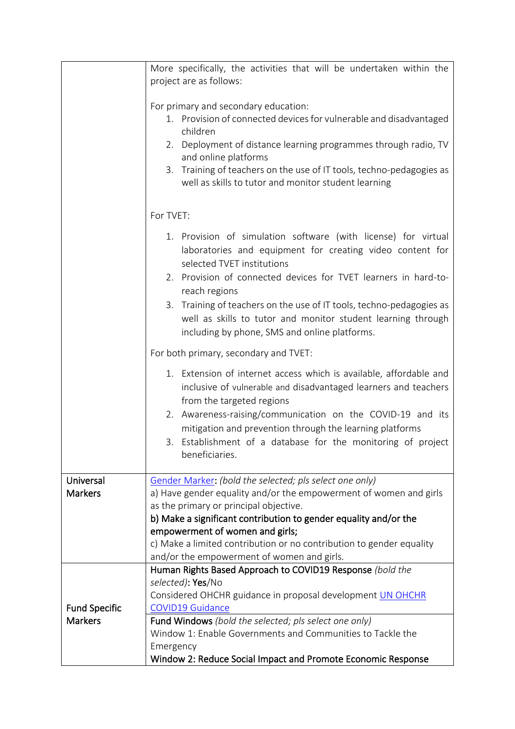|                             | More specifically, the activities that will be undertaken within the                                                                                                                                           |  |  |  |  |  |  |
|-----------------------------|----------------------------------------------------------------------------------------------------------------------------------------------------------------------------------------------------------------|--|--|--|--|--|--|
|                             | project are as follows:                                                                                                                                                                                        |  |  |  |  |  |  |
|                             | For primary and secondary education:                                                                                                                                                                           |  |  |  |  |  |  |
|                             | 1. Provision of connected devices for vulnerable and disadvantaged<br>children                                                                                                                                 |  |  |  |  |  |  |
|                             | Deployment of distance learning programmes through radio, TV<br>2.<br>and online platforms                                                                                                                     |  |  |  |  |  |  |
|                             | Training of teachers on the use of IT tools, techno-pedagogies as<br>3.<br>well as skills to tutor and monitor student learning                                                                                |  |  |  |  |  |  |
|                             | For TVET:                                                                                                                                                                                                      |  |  |  |  |  |  |
|                             | 1. Provision of simulation software (with license) for virtual<br>laboratories and equipment for creating video content for<br>selected TVET institutions                                                      |  |  |  |  |  |  |
|                             | 2. Provision of connected devices for TVET learners in hard-to-<br>reach regions                                                                                                                               |  |  |  |  |  |  |
|                             | 3. Training of teachers on the use of IT tools, techno-pedagogies as<br>well as skills to tutor and monitor student learning through<br>including by phone, SMS and online platforms.                          |  |  |  |  |  |  |
|                             | For both primary, secondary and TVET:                                                                                                                                                                          |  |  |  |  |  |  |
|                             | 1. Extension of internet access which is available, affordable and<br>inclusive of vulnerable and disadvantaged learners and teachers<br>from the targeted regions                                             |  |  |  |  |  |  |
|                             | Awareness-raising/communication on the COVID-19 and its<br>2.<br>mitigation and prevention through the learning platforms<br>Establishment of a database for the monitoring of project<br>3.<br>beneficiaries. |  |  |  |  |  |  |
|                             |                                                                                                                                                                                                                |  |  |  |  |  |  |
| Universal<br><b>Markers</b> | Gender Marker: (bold the selected; pls select one only)                                                                                                                                                        |  |  |  |  |  |  |
|                             | a) Have gender equality and/or the empowerment of women and girls<br>as the primary or principal objective.                                                                                                    |  |  |  |  |  |  |
|                             | b) Make a significant contribution to gender equality and/or the                                                                                                                                               |  |  |  |  |  |  |
|                             | empowerment of women and girls;                                                                                                                                                                                |  |  |  |  |  |  |
|                             | c) Make a limited contribution or no contribution to gender equality                                                                                                                                           |  |  |  |  |  |  |
|                             | and/or the empowerment of women and girls.                                                                                                                                                                     |  |  |  |  |  |  |
|                             | Human Rights Based Approach to COVID19 Response (bold the                                                                                                                                                      |  |  |  |  |  |  |
|                             | selected): Yes/No<br>Considered OHCHR guidance in proposal development UN OHCHR                                                                                                                                |  |  |  |  |  |  |
| <b>Fund Specific</b>        | <b>COVID19 Guidance</b>                                                                                                                                                                                        |  |  |  |  |  |  |
| <b>Markers</b>              | Fund Windows (bold the selected; pls select one only)                                                                                                                                                          |  |  |  |  |  |  |
|                             | Window 1: Enable Governments and Communities to Tackle the                                                                                                                                                     |  |  |  |  |  |  |
|                             | Emergency                                                                                                                                                                                                      |  |  |  |  |  |  |
|                             | Window 2: Reduce Social Impact and Promote Economic Response                                                                                                                                                   |  |  |  |  |  |  |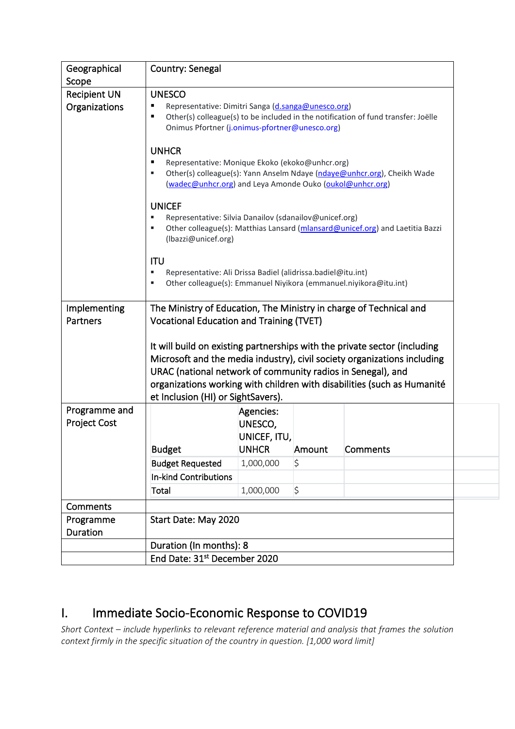| Geographical<br>Scope                | Country: Senegal                                                                                                                                                                                                                                                                                                                                                                         |                         |             |                                                                    |  |  |  |  |
|--------------------------------------|------------------------------------------------------------------------------------------------------------------------------------------------------------------------------------------------------------------------------------------------------------------------------------------------------------------------------------------------------------------------------------------|-------------------------|-------------|--------------------------------------------------------------------|--|--|--|--|
| <b>Recipient UN</b><br>Organizations | <b>UNESCO</b><br>Representative: Dimitri Sanga (d.sanga@unesco.org)<br>Other(s) colleague(s) to be included in the notification of fund transfer: Joëlle<br>в<br>Onimus Pfortner (j.onimus-pfortner@unesco.org)                                                                                                                                                                          |                         |             |                                                                    |  |  |  |  |
|                                      | <b>UNHCR</b><br>Representative: Monique Ekoko (ekoko@unhcr.org)<br>Е<br>Other(s) colleague(s): Yann Anselm Ndaye (ndaye@unhcr.org), Cheikh Wade<br>Е<br>(wadec@unhcr.org) and Leya Amonde Ouko (oukol@unhcr.org)                                                                                                                                                                         |                         |             |                                                                    |  |  |  |  |
|                                      | <b>UNICEF</b><br>Representative: Silvia Danailov (sdanailov@unicef.org)<br>п<br>Other colleague(s): Matthias Lansard (mlansard@unicef.org) and Laetitia Bazzi<br>п<br>(Ibazzi@unicef.org)                                                                                                                                                                                                |                         |             |                                                                    |  |  |  |  |
|                                      | <b>ITU</b><br>Representative: Ali Drissa Badiel (alidrissa.badiel@itu.int)<br>Е<br>Other colleague(s): Emmanuel Niyikora (emmanuel.niyikora@itu.int)<br>ш                                                                                                                                                                                                                                |                         |             |                                                                    |  |  |  |  |
| Implementing<br>Partners             |                                                                                                                                                                                                                                                                                                                                                                                          |                         |             | The Ministry of Education, The Ministry in charge of Technical and |  |  |  |  |
|                                      | <b>Vocational Education and Training (TVET)</b><br>It will build on existing partnerships with the private sector (including<br>Microsoft and the media industry), civil society organizations including<br>URAC (national network of community radios in Senegal), and<br>organizations working with children with disabilities (such as Humanité<br>et Inclusion (HI) or SightSavers). |                         |             |                                                                    |  |  |  |  |
| Programme and<br><b>Project Cost</b> |                                                                                                                                                                                                                                                                                                                                                                                          | Agencies:               |             |                                                                    |  |  |  |  |
|                                      |                                                                                                                                                                                                                                                                                                                                                                                          | UNESCO,<br>UNICEF, ITU, |             |                                                                    |  |  |  |  |
|                                      | <b>Budget</b>                                                                                                                                                                                                                                                                                                                                                                            | <b>UNHCR</b>            | Amount      | Comments                                                           |  |  |  |  |
|                                      | <b>Budget Requested</b>                                                                                                                                                                                                                                                                                                                                                                  | 1,000,000               | \$          |                                                                    |  |  |  |  |
|                                      | In-kind Contributions                                                                                                                                                                                                                                                                                                                                                                    |                         |             |                                                                    |  |  |  |  |
|                                      | Total                                                                                                                                                                                                                                                                                                                                                                                    | 1,000,000               | $\varsigma$ |                                                                    |  |  |  |  |
| <b>Comments</b>                      |                                                                                                                                                                                                                                                                                                                                                                                          |                         |             |                                                                    |  |  |  |  |
| Programme<br>Duration                |                                                                                                                                                                                                                                                                                                                                                                                          | Start Date: May 2020    |             |                                                                    |  |  |  |  |
|                                      | Duration (In months): 8                                                                                                                                                                                                                                                                                                                                                                  |                         |             |                                                                    |  |  |  |  |
|                                      | End Date: 31st December 2020                                                                                                                                                                                                                                                                                                                                                             |                         |             |                                                                    |  |  |  |  |

## I. Immediate Socio-Economic Response to COVID19

*Short Context – include hyperlinks to relevant reference material and analysis that frames the solution context firmly in the specific situation of the country in question. [1,000 word limit]*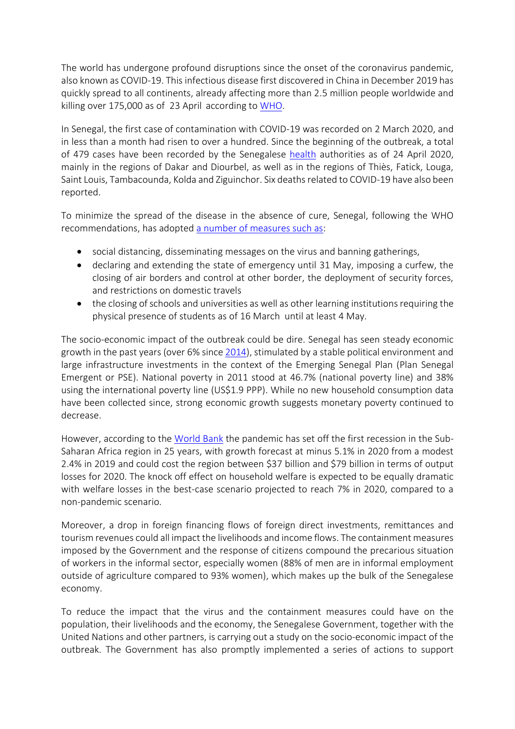The world has undergone profound disruptions since the onset of the coronavirus pandemic, also known as COVID-19. This infectious disease first discovered in China in December 2019 has quickly spread to all continents, already affecting more than 2.5 million people worldwide and killing over 175,000 as of 23 April according to [WHO.](https://www.who.int/docs/default-source/coronaviruse/situation-reports/20200416-sitrep-87-covid-19.pdf?sfvrsn=9523115a_2)

In Senegal, the first case of contamination with COVID-19 was recorded on 2 March 2020, and in less than a month had risen to over a hundred. Since the beginning of the outbreak, a total of 479 cases have been recorded by the Senegalese [health](http://www.sante.gouv.sn/) authorities as of 24 April 2020, mainly in the regions of Dakar and Diourbel, as well as in the regions of Thiès, Fatick, Louga, Saint Louis, Tambacounda, Kolda and Ziguinchor. Six deaths related to COVID-19 have also been reported.

To minimize the spread of the disease in the absence of cure, Senegal, following the WHO recommendations, has adopted [a number of measures such as:](https://www.sec.gouv.sn/actualité/message-de-sem-le-président-de-la-république-macky-sall-déclaration-d’état-d’urgence-dans)

- social distancing, disseminating messages on the virus and banning gatherings,
- declaring and extending the state of emergency until 31 May, imposing a curfew, the closing of air borders and control at other border, the deployment of security forces, and restrictions on domestic travels
- the closing of schools and universities as well as other learning institutions requiring the physical presence of students as of 16 March until at least 4 May.

The socio-economic impact of the outbreak could be dire. Senegal has seen steady economic growth in the past years (over 6% since [2014\)](https://www.worldbank.org/en/country/senegal/overview), stimulated by a stable political environment and large infrastructure investments in the context of the Emerging Senegal Plan (Plan Senegal Emergent or PSE). National poverty in 2011 stood at 46.7% (national poverty line) and 38% using the international poverty line (US\$1.9 PPP). While no new household consumption data have been collected since, strong economic growth suggests monetary poverty continued to decrease.

However, according to the [World Bank](https://www.worldbank.org/en/region/afr/publication/for-sub-saharan-africa-coronavirus-crisis-calls-for-policies-for-greater-resilience) the pandemic has set off the first recession in the Sub-Saharan Africa region in 25 years, with growth forecast at minus 5.1% in 2020 from a modest 2.4% in 2019 and could cost the region between \$37 billion and \$79 billion in terms of output losses for 2020. The knock off effect on household welfare is expected to be equally dramatic with welfare losses in the best-case scenario projected to reach 7% in 2020, compared to a non-pandemic scenario.

Moreover, a drop in foreign financing flows of foreign direct investments, remittances and tourism revenues could all impact the livelihoods and income flows. The containment measures imposed by the Government and the response of citizens compound the precarious situation of workers in the informal sector, especially women (88% of men are in informal employment outside of agriculture compared to 93% women), which makes up the bulk of the Senegalese economy.

To reduce the impact that the virus and the containment measures could have on the population, their livelihoods and the economy, the Senegalese Government, together with the United Nations and other partners, is carrying out a study on the socio-economic impact of the outbreak. The Government has also promptly implemented a series of actions to support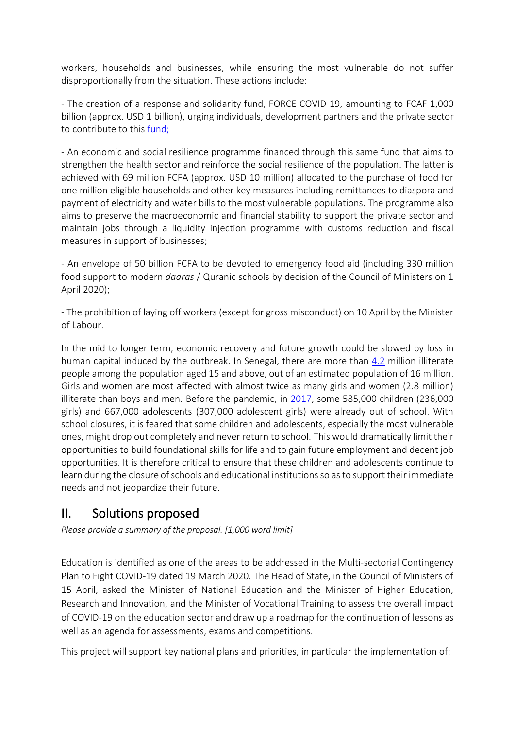workers, households and businesses, while ensuring the most vulnerable do not suffer disproportionally from the situation. These actions include:

- The creation of a response and solidarity fund, FORCE COVID 19, amounting to FCAF 1,000 billion (approx. USD 1 billion), urging individuals, development partners and the private sector to contribute to this [fund;](http://www.sante.gouv.sn/sites/default/files/Coronavirus%20Tableau%20Recaoitulatif%20des%20Dons_2.pdf)

- An economic and social resilience programme financed through this same fund that aims to strengthen the health sector and reinforce the social resilience of the population. The latter is achieved with 69 million FCFA (approx. USD 10 million) allocated to the purchase of food for one million eligible households and other key measures including remittances to diaspora and payment of electricity and water bills to the most vulnerable populations. The programme also aims to preserve the macroeconomic and financial stability to support the private sector and maintain jobs through a liquidity injection programme with customs reduction and fiscal measures in support of businesses;

- An envelope of 50 billion FCFA to be devoted to emergency food aid (including 330 million food support to modern *daaras* / Quranic schools by decision of the Council of Ministers on 1 April 2020);

- The prohibition of laying off workers (except for gross misconduct) on 10 April by the Minister of Labour.

In the mid to longer term, economic recovery and future growth could be slowed by loss in human capital induced by the outbreak. In Senegal, there are more than [4.2](http://uis.unesco.org/fr/country/sn) million illiterate people among the population aged 15 and above, out of an estimated population of 16 million. Girls and women are most affected with almost twice as many girls and women (2.8 million) illiterate than boys and men. Before the pandemic, in [2017,](http://uis.unesco.org/fr/country/sn) some 585,000 children (236,000 girls) and 667,000 adolescents (307,000 adolescent girls) were already out of school. With school closures, it is feared that some children and adolescents, especially the most vulnerable ones, might drop out completely and never return to school. This would dramatically limit their opportunities to build foundational skills for life and to gain future employment and decent job opportunities. It is therefore critical to ensure that these children and adolescents continue to learn during the closure of schools and educational institutions so as to support their immediate needs and not jeopardize their future.

## II. Solutions proposed

*Please provide a summary of the proposal. [1,000 word limit]*

Education is identified as one of the areas to be addressed in the Multi-sectorial Contingency Plan to Fight COVID-19 dated 19 March 2020. The Head of State, in the Council of Ministers of 15 April, asked the Minister of National Education and the Minister of Higher Education, Research and Innovation, and the Minister of Vocational Training to assess the overall impact of COVID-19 on the education sector and draw up a roadmap for the continuation of lessons as well as an agenda for assessments, exams and competitions.

This project will support key national plans and priorities, in particular the implementation of: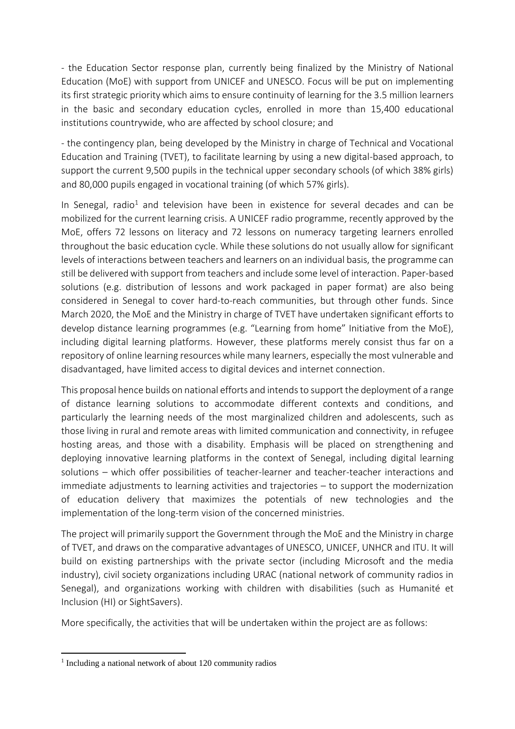- the Education Sector response plan, currently being finalized by the Ministry of National Education (MoE) with support from UNICEF and UNESCO. Focus will be put on implementing its first strategic priority which aims to ensure continuity of learning for the 3.5 million learners in the basic and secondary education cycles, enrolled in more than 15,400 educational institutions countrywide, who are affected by school closure; and

- the contingency plan, being developed by the Ministry in charge of Technical and Vocational Education and Training (TVET), to facilitate learning by using a new digital-based approach, to support the current 9,500 pupils in the technical upper secondary schools (of which 38% girls) and 80,000 pupils engaged in vocational training (of which 57% girls).

In Senegal, radio<sup>1</sup> and television have been in existence for several decades and can be mobilized for the current learning crisis. A UNICEF radio programme, recently approved by the MoE, offers 72 lessons on literacy and 72 lessons on numeracy targeting learners enrolled throughout the basic education cycle. While these solutions do not usually allow for significant levels of interactions between teachers and learners on an individual basis, the programme can still be delivered with support from teachers and include some level of interaction. Paper-based solutions (e.g. distribution of lessons and work packaged in paper format) are also being considered in Senegal to cover hard-to-reach communities, but through other funds. Since March 2020, the MoE and the Ministry in charge of TVET have undertaken significant efforts to develop distance learning programmes (e.g. "Learning from home" Initiative from the MoE), including digital learning platforms. However, these platforms merely consist thus far on a repository of online learning resources while many learners, especially the most vulnerable and disadvantaged, have limited access to digital devices and internet connection.

This proposal hence builds on national efforts and intends to support the deployment of a range of distance learning solutions to accommodate different contexts and conditions, and particularly the learning needs of the most marginalized children and adolescents, such as those living in rural and remote areas with limited communication and connectivity, in refugee hosting areas, and those with a disability. Emphasis will be placed on strengthening and deploying innovative learning platforms in the context of Senegal, including digital learning solutions – which offer possibilities of teacher-learner and teacher-teacher interactions and immediate adjustments to learning activities and trajectories – to support the modernization of education delivery that maximizes the potentials of new technologies and the implementation of the long-term vision of the concerned ministries.

The project will primarily support the Government through the MoE and the Ministry in charge of TVET, and draws on the comparative advantages of UNESCO, UNICEF, UNHCR and ITU. It will build on existing partnerships with the private sector (including Microsoft and the media industry), civil society organizations including URAC (national network of community radios in Senegal), and organizations working with children with disabilities (such as Humanité et Inclusion (HI) or SightSavers).

More specifically, the activities that will be undertaken within the project are as follows:

<sup>&</sup>lt;sup>1</sup> Including a national network of about 120 community radios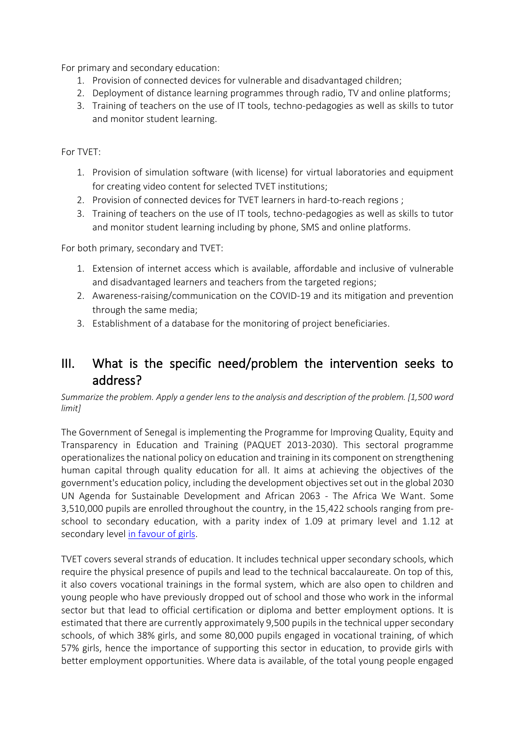For primary and secondary education:

- 1. Provision of connected devices for vulnerable and disadvantaged children;
- 2. Deployment of distance learning programmes through radio, TV and online platforms;
- 3. Training of teachers on the use of IT tools, techno-pedagogies as well as skills to tutor and monitor student learning.

For TVET:

- 1. Provision of simulation software (with license) for virtual laboratories and equipment for creating video content for selected TVET institutions;
- 2. Provision of connected devices for TVET learners in hard-to-reach regions ;
- 3. Training of teachers on the use of IT tools, techno-pedagogies as well as skills to tutor and monitor student learning including by phone, SMS and online platforms.

For both primary, secondary and TVET:

- 1. Extension of internet access which is available, affordable and inclusive of vulnerable and disadvantaged learners and teachers from the targeted regions;
- 2. Awareness-raising/communication on the COVID-19 and its mitigation and prevention through the same media;
- 3. Establishment of a database for the monitoring of project beneficiaries.

### III. What is the specific need/problem the intervention seeks to address?

*Summarize the problem. Apply [a gender lens](https://www.unwomen.org/en/news/stories/2020/3/news-checklist-for-covid-19-response-by-ded-regner) to the analysis and description of the problem. [1,500 word limit]*

The Government of Senegal is implementing the Programme for Improving Quality, Equity and Transparency in Education and Training (PAQUET 2013-2030). This sectoral programme operationalizes the national policy on education and training in its component on strengthening human capital through quality education for all. It aims at achieving the objectives of the government's education policy, including the development objectives set out in the global 2030 UN Agenda for Sustainable Development and African 2063 - The Africa We Want. Some 3,510,000 pupils are enrolled throughout the country, in the 15,422 schools ranging from preschool to secondary education, with a parity index of 1.09 at primary level and 1.12 at secondary level [in favour of girls.](http://www.ansd.sn/ressources/publications/Rapport%20Final%20EDS%202017.pdf)

TVET covers several strands of education. It includes technical upper secondary schools, which require the physical presence of pupils and lead to the technical baccalaureate. On top of this, it also covers vocational trainings in the formal system, which are also open to children and young people who have previously dropped out of school and those who work in the informal sector but that lead to official certification or diploma and better employment options. It is estimated that there are currently approximately 9,500 pupils in the technical upper secondary schools, of which 38% girls, and some 80,000 pupils engaged in vocational training, of which 57% girls, hence the importance of supporting this sector in education, to provide girls with better employment opportunities. Where data is available, of the total young people engaged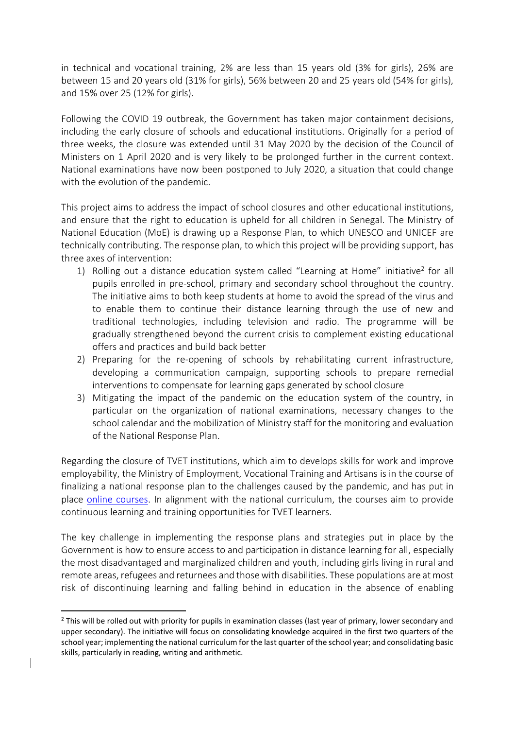in technical and vocational training, 2% are less than 15 years old (3% for girls), 26% are between 15 and 20 years old (31% for girls), 56% between 20 and 25 years old (54% for girls), and 15% over 25 (12% for girls).

Following the COVID 19 outbreak, the Government has taken major containment decisions, including the early closure of schools and educational institutions. Originally for a period of three weeks, the closure was extended until 31 May 2020 by the decision of the Council of Ministers on 1 April 2020 and is very likely to be prolonged further in the current context. National examinations have now been postponed to July 2020, a situation that could change with the evolution of the pandemic.

This project aims to address the impact of school closures and other educational institutions, and ensure that the right to education is upheld for all children in Senegal. The Ministry of National Education (MoE) is drawing up a Response Plan, to which UNESCO and UNICEF are technically contributing. The response plan, to which this project will be providing support, has three axes of intervention:

- 1) Rolling out a distance education system called "Learning at Home" initiative<sup>2</sup> for all pupils enrolled in pre-school, primary and secondary school throughout the country. The initiative aims to both keep students at home to avoid the spread of the virus and to enable them to continue their distance learning through the use of new and traditional technologies, including television and radio. The programme will be gradually strengthened beyond the current crisis to complement existing educational offers and practices and build back better
- 2) Preparing for the re-opening of schools by rehabilitating current infrastructure, developing a communication campaign, supporting schools to prepare remedial interventions to compensate for learning gaps generated by school closure
- 3) Mitigating the impact of the pandemic on the education system of the country, in particular on the organization of national examinations, necessary changes to the school calendar and the mobilization of Ministry staff for the monitoring and evaluation of the National Response Plan.

Regarding the closure of TVET institutions, which aim to develops skills for work and improve employability, the Ministry of Employment, Vocational Training and Artisans is in the course of finalizing a national response plan to the challenges caused by the pandemic, and has put in place [online courses.](http://www.e-jang.mefpa.gouv.sn/) In alignment with the national curriculum, the courses aim to provide continuous learning and training opportunities for TVET learners.

The key challenge in implementing the response plans and strategies put in place by the Government is how to ensure access to and participation in distance learning for all, especially the most disadvantaged and marginalized children and youth, including girls living in rural and remote areas, refugees and returnees and those with disabilities. These populations are at most risk of discontinuing learning and falling behind in education in the absence of enabling

 $<sup>2</sup>$  This will be rolled out with priority for pupils in examination classes (last year of primary, lower secondary and</sup> upper secondary). The initiative will focus on consolidating knowledge acquired in the first two quarters of the school year; implementing the national curriculum for the last quarter of the school year; and consolidating basic skills, particularly in reading, writing and arithmetic.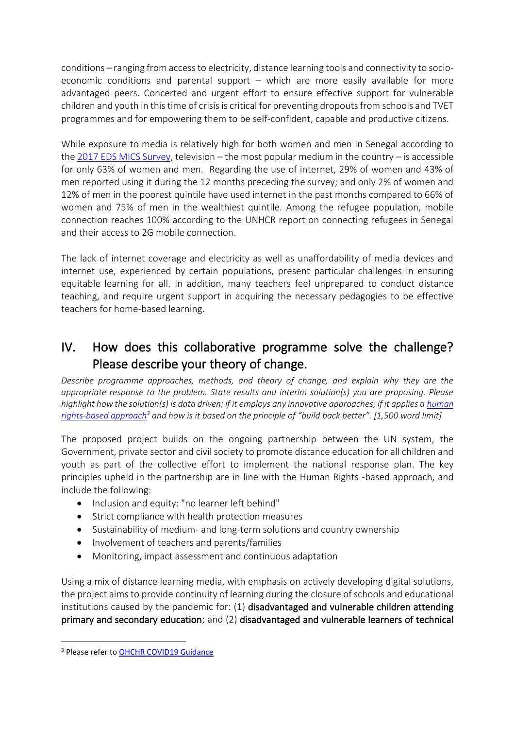conditions – ranging from access to electricity, distance learning tools and connectivity to socioeconomic conditions and parental support – which are more easily available for more advantaged peers. Concerted and urgent effort to ensure effective support for vulnerable children and youth in this time of crisis is critical for preventing dropouts from schools and TVET programmes and for empowering them to be self-confident, capable and productive citizens.

While exposure to media is relatively high for both women and men in Senegal according to the [2017 EDS MICS Survey,](http://www.ansd.sn/ressources/publications/Rapport%20Final%20EDS%202017.pdf) television – the most popular medium in the country – is accessible for only 63% of women and men. Regarding the use of internet, 29% of women and 43% of men reported using it during the 12 months preceding the survey; and only 2% of women and 12% of men in the poorest quintile have used internet in the past months compared to 66% of women and 75% of men in the wealthiest quintile. Among the refugee population, mobile connection reaches 100% according to the UNHCR report on connecting refugees in Senegal and their access to 2G mobile connection.

The lack of internet coverage and electricity as well as unaffordability of media devices and internet use, experienced by certain populations, present particular challenges in ensuring equitable learning for all. In addition, many teachers feel unprepared to conduct distance teaching, and require urgent support in acquiring the necessary pedagogies to be effective teachers for home-based learning.

## IV. How does this collaborative programme solve the challenge? Please describe your theory of change.

*Describe programme approaches, methods, and theory of change, and explain why they are the appropriate response to the problem. State results and interim solution(s) you are proposing. Please highlight how the solution(s) is data driven; if it employs any innovative approaches; if it applies a human [rights-based approach](https://www.ohchr.org/EN/NewsEvents/Pages/COVID19Guidance.aspx)<sup>3</sup> and how is it based on the principle of "build back better". [1,500 word limit]*

The proposed project builds on the ongoing partnership between the UN system, the Government, private sector and civil society to promote distance education for all children and youth as part of the collective effort to implement the national response plan. The key principles upheld in the partnership are in line with the Human Rights -based approach, and include the following:

- Inclusion and equity: "no learner left behind"
- Strict compliance with health protection measures
- Sustainability of medium- and long-term solutions and country ownership
- Involvement of teachers and parents/families
- Monitoring, impact assessment and continuous adaptation

Using a mix of distance learning media, with emphasis on actively developing digital solutions, the project aims to provide continuity of learning during the closure of schools and educational institutions caused by the pandemic for: (1) disadvantaged and vulnerable children attending primary and secondary education; and (2) disadvantaged and vulnerable learners of technical

<sup>&</sup>lt;sup>3</sup> Please refer to OHCHR COVID19 Guidance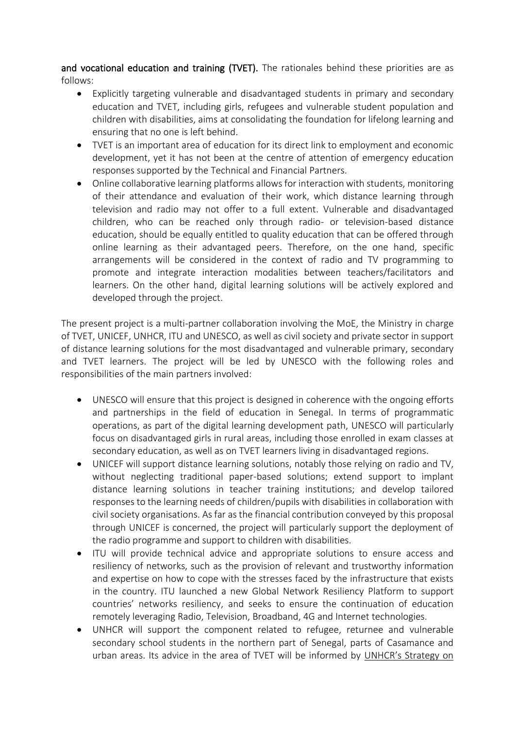and vocational education and training (TVET). The rationales behind these priorities are as follows:

- Explicitly targeting vulnerable and disadvantaged students in primary and secondary education and TVET, including girls, refugees and vulnerable student population and children with disabilities, aims at consolidating the foundation for lifelong learning and ensuring that no one is left behind.
- TVET is an important area of education for its direct link to employment and economic development, yet it has not been at the centre of attention of emergency education responses supported by the Technical and Financial Partners.
- Online collaborative learning platforms allows for interaction with students, monitoring of their attendance and evaluation of their work, which distance learning through television and radio may not offer to a full extent. Vulnerable and disadvantaged children, who can be reached only through radio- or television-based distance education, should be equally entitled to quality education that can be offered through online learning as their advantaged peers. Therefore, on the one hand, specific arrangements will be considered in the context of radio and TV programming to promote and integrate interaction modalities between teachers/facilitators and learners. On the other hand, digital learning solutions will be actively explored and developed through the project.

The present project is a multi-partner collaboration involving the MoE, the Ministry in charge of TVET, UNICEF, UNHCR, ITU and UNESCO, as well as civil society and private sector in support of distance learning solutions for the most disadvantaged and vulnerable primary, secondary and TVET learners. The project will be led by UNESCO with the following roles and responsibilities of the main partners involved:

- UNESCO will ensure that this project is designed in coherence with the ongoing efforts and partnerships in the field of education in Senegal. In terms of programmatic operations, as part of the digital learning development path, UNESCO will particularly focus on disadvantaged girls in rural areas, including those enrolled in exam classes at secondary education, as well as on TVET learners living in disadvantaged regions.
- UNICEF will support distance learning solutions, notably those relying on radio and TV, without neglecting traditional paper-based solutions; extend support to implant distance learning solutions in teacher training institutions; and develop tailored responses to the learning needs of children/pupils with disabilities in collaboration with civil society organisations. As far as the financial contribution conveyed by this proposal through UNICEF is concerned, the project will particularly support the deployment of the radio programme and support to children with disabilities.
- ITU will provide technical advice and appropriate solutions to ensure access and resiliency of networks, such as the provision of relevant and trustworthy information and expertise on how to cope with the stresses faced by the infrastructure that exists in the country. ITU launched a new Global Network Resiliency Platform to support countries' networks resiliency, and seeks to ensure the continuation of education remotely leveraging Radio, Television, Broadband, 4G and Internet technologies.
- UNHCR will support the component related to refugee, returnee and vulnerable secondary school students in the northern part of Senegal, parts of Casamance and urban areas. Its advice in the area of TVET will be informed by [UNHCR's Strategy on](https://www.unhcr.org/publications/education/5c628dc04/key-considerations-technical-vocational-education-training-tvet.html)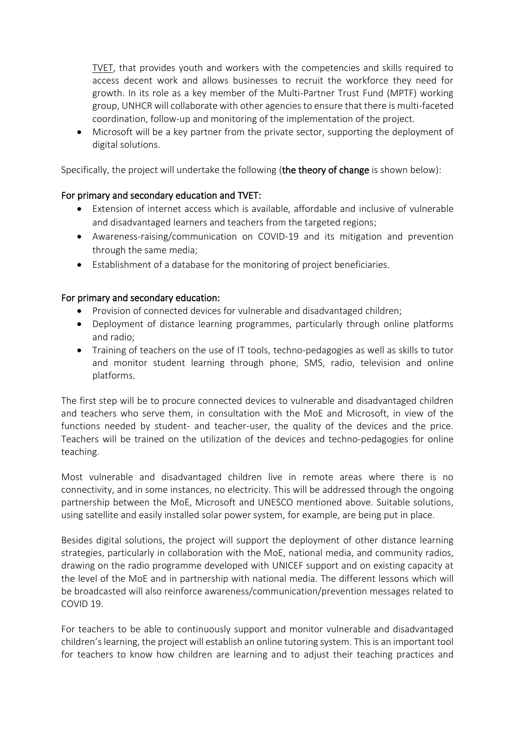[TVET,](https://www.unhcr.org/publications/education/5c628dc04/key-considerations-technical-vocational-education-training-tvet.html) that provides youth and workers with the competencies and skills required to access decent work and allows businesses to recruit the workforce they need for growth. In its role as a key member of the Multi-Partner Trust Fund (MPTF) working group, UNHCR will collaborate with other agencies to ensure that there is multi-faceted coordination, follow-up and monitoring of the implementation of the project.

• Microsoft will be a key partner from the private sector, supporting the deployment of digital solutions.

Specifically, the project will undertake the following (the theory of change is shown below):

### For primary and secondary education and TVET:

- Extension of internet access which is available, affordable and inclusive of vulnerable and disadvantaged learners and teachers from the targeted regions;
- Awareness-raising/communication on COVID-19 and its mitigation and prevention through the same media;
- Establishment of a database for the monitoring of project beneficiaries.

### For primary and secondary education:

- Provision of connected devices for vulnerable and disadvantaged children;
- Deployment of distance learning programmes, particularly through online platforms and radio;
- Training of teachers on the use of IT tools, techno-pedagogies as well as skills to tutor and monitor student learning through phone, SMS, radio, television and online platforms.

The first step will be to procure connected devices to vulnerable and disadvantaged children and teachers who serve them, in consultation with the MoE and Microsoft, in view of the functions needed by student- and teacher-user, the quality of the devices and the price. Teachers will be trained on the utilization of the devices and techno-pedagogies for online teaching.

Most vulnerable and disadvantaged children live in remote areas where there is no connectivity, and in some instances, no electricity. This will be addressed through the ongoing partnership between the MoE, Microsoft and UNESCO mentioned above. Suitable solutions, using satellite and easily installed solar power system, for example, are being put in place.

Besides digital solutions, the project will support the deployment of other distance learning strategies, particularly in collaboration with the MoE, national media, and community radios, drawing on the radio programme developed with UNICEF support and on existing capacity at the level of the MoE and in partnership with national media. The different lessons which will be broadcasted will also reinforce awareness/communication/prevention messages related to COVID 19.

For teachers to be able to continuously support and monitor vulnerable and disadvantaged children's learning, the project will establish an online tutoring system. This is an important tool for teachers to know how children are learning and to adjust their teaching practices and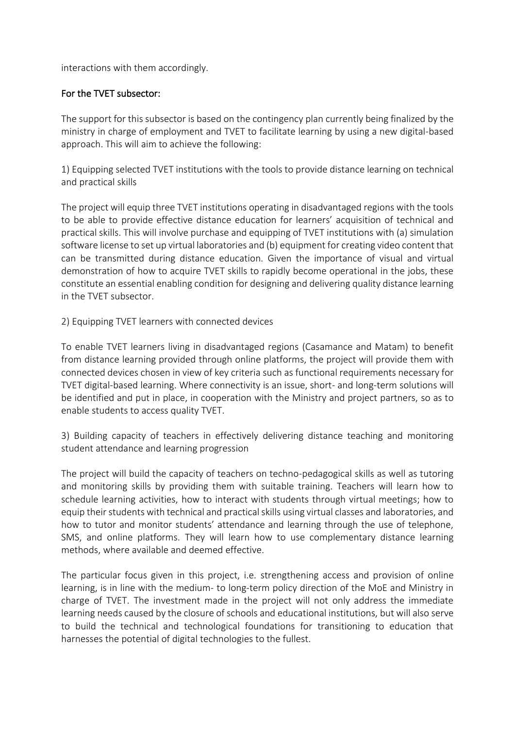interactions with them accordingly.

### For the TVET subsector:

The support for this subsector is based on the contingency plan currently being finalized by the ministry in charge of employment and TVET to facilitate learning by using a new digital-based approach. This will aim to achieve the following:

1) Equipping selected TVET institutions with the tools to provide distance learning on technical and practical skills

The project will equip three TVET institutions operating in disadvantaged regions with the tools to be able to provide effective distance education for learners' acquisition of technical and practical skills. This will involve purchase and equipping of TVET institutions with (a) simulation software license to set up virtual laboratories and (b) equipment for creating video content that can be transmitted during distance education. Given the importance of visual and virtual demonstration of how to acquire TVET skills to rapidly become operational in the jobs, these constitute an essential enabling condition for designing and delivering quality distance learning in the TVET subsector.

2) Equipping TVET learners with connected devices

To enable TVET learners living in disadvantaged regions (Casamance and Matam) to benefit from distance learning provided through online platforms, the project will provide them with connected devices chosen in view of key criteria such as functional requirements necessary for TVET digital-based learning. Where connectivity is an issue, short- and long-term solutions will be identified and put in place, in cooperation with the Ministry and project partners, so as to enable students to access quality TVET.

3) Building capacity of teachers in effectively delivering distance teaching and monitoring student attendance and learning progression

The project will build the capacity of teachers on techno-pedagogical skills as well as tutoring and monitoring skills by providing them with suitable training. Teachers will learn how to schedule learning activities, how to interact with students through virtual meetings; how to equip their students with technical and practical skills using virtual classes and laboratories, and how to tutor and monitor students' attendance and learning through the use of telephone, SMS, and online platforms. They will learn how to use complementary distance learning methods, where available and deemed effective.

The particular focus given in this project, i.e. strengthening access and provision of online learning, is in line with the medium- to long-term policy direction of the MoE and Ministry in charge of TVET. The investment made in the project will not only address the immediate learning needs caused by the closure of schools and educational institutions, but will also serve to build the technical and technological foundations for transitioning to education that harnesses the potential of digital technologies to the fullest.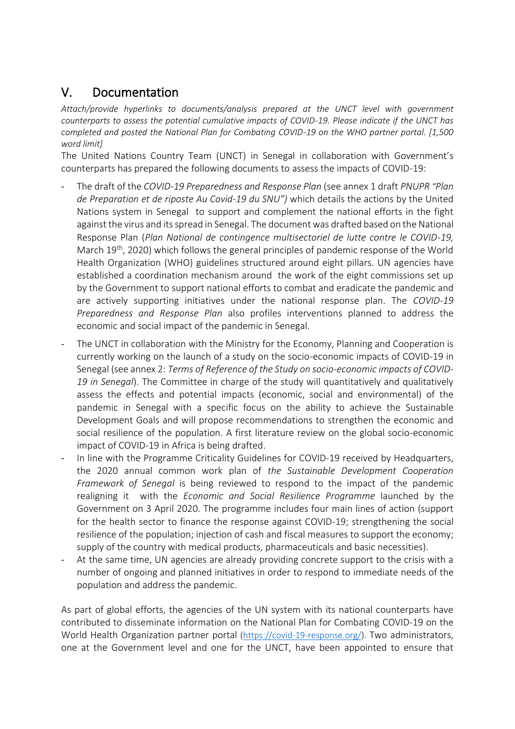### V. Documentation

*Attach/provide hyperlinks to documents/analysis prepared at the UNCT level with government counterparts to assess the potential cumulative impacts of COVID-19. Please indicate if the UNCT has completed and posted the National Plan for Combating COVID-19 on the WHO partner portal. [1,500 word limit]*

The United Nations Country Team (UNCT) in Senegal in collaboration with Government's counterparts has prepared the following documents to assess the impacts of COVID-19:

- The draft of the *COVID-19 Preparedness and Response Plan* (see annex 1 draft *PNUPR "Plan de Preparation et de riposte Au Covid-19 du SNU")* which details the actions by the United Nations system in Senegal to support and complement the national efforts in the fight against the virus and its spread in Senegal. The document was drafted based on the National Response Plan (*Plan National de contingence multisectoriel de lutte contre le COVID-19,*  March 19<sup>th</sup>, 2020) which follows the general principles of pandemic response of the World Health Organization (WHO) guidelines structured around eight pillars. UN agencies have established a coordination mechanism around the work of the eight commissions set up by the Government to support national efforts to combat and eradicate the pandemic and are actively supporting initiatives under the national response plan. The *COVID-19 Preparedness and Response Plan* also profiles interventions planned to address the economic and social impact of the pandemic in Senegal.
- The UNCT in collaboration with the Ministry for the Economy, Planning and Cooperation is currently working on the launch of a study on the socio-economic impacts of COVID-19 in Senegal (see annex 2: *Terms of Reference of the Study on socio-economic impacts of COVID-19 in Senegal*). The Committee in charge of the study will quantitatively and qualitatively assess the effects and potential impacts (economic, social and environmental) of the pandemic in Senegal with a specific focus on the ability to achieve the Sustainable Development Goals and will propose recommendations to strengthen the economic and social resilience of the population. A first literature review on the global socio-economic impact of COVID-19 in Africa is being drafted.
- In line with the Programme Criticality Guidelines for COVID-19 received by Headquarters, the 2020 annual common work plan of *the Sustainable Development Cooperation Framework of Senegal* is being reviewed to respond to the impact of the pandemic realigning it with the *Economic and Social Resilience Programme* launched by the Government on 3 April 2020. The programme includes four main lines of action (support for the health sector to finance the response against COVID-19; strengthening the social resilience of the population; injection of cash and fiscal measures to support the economy; supply of the country with medical products, pharmaceuticals and basic necessities).
- At the same time, UN agencies are already providing concrete support to the crisis with a number of ongoing and planned initiatives in order to respond to immediate needs of the population and address the pandemic.

As part of global efforts, the agencies of the UN system with its national counterparts have contributed to disseminate information on the National Plan for Combating COVID-19 on the World Health Organization partner portal [\(https://covid-19-response.org/\)](https://covid-19-response.org/). Two administrators, one at the Government level and one for the UNCT, have been appointed to ensure that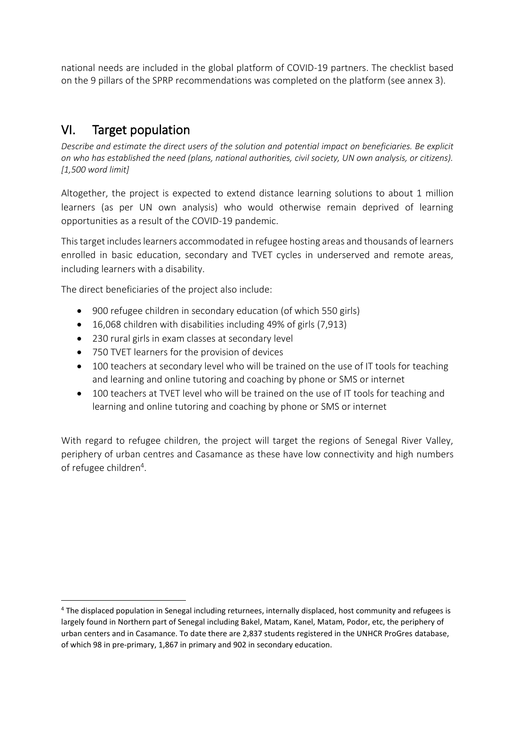national needs are included in the global platform of COVID-19 partners. The checklist based on the 9 pillars of the SPRP recommendations was completed on the platform (see annex 3).

## VI. Target population

*Describe and estimate the direct users of the solution and potential impact on beneficiaries. Be explicit on who has established the need (plans, national authorities, civil society, UN own analysis, or citizens). [1,500 word limit]*

Altogether, the project is expected to extend distance learning solutions to about 1 million learners (as per UN own analysis) who would otherwise remain deprived of learning opportunities as a result of the COVID-19 pandemic.

This target includes learners accommodated in refugee hosting areas and thousands of learners enrolled in basic education, secondary and TVET cycles in underserved and remote areas, including learners with a disability.

The direct beneficiaries of the project also include:

- 900 refugee children in secondary education (of which 550 girls)
- 16,068 children with disabilities including 49% of girls (7,913)
- 230 rural girls in exam classes at secondary level
- 750 TVET learners for the provision of devices
- 100 teachers at secondary level who will be trained on the use of IT tools for teaching and learning and online tutoring and coaching by phone or SMS or internet
- 100 teachers at TVET level who will be trained on the use of IT tools for teaching and learning and online tutoring and coaching by phone or SMS or internet

With regard to refugee children, the project will target the regions of Senegal River Valley, periphery of urban centres and Casamance as these have low connectivity and high numbers of refugee children<sup>4</sup>.

<sup>4</sup> The displaced population in Senegal including returnees, internally displaced, host community and refugees is largely found in Northern part of Senegal including Bakel, Matam, Kanel, Matam, Podor, etc, the periphery of urban centers and in Casamance. To date there are 2,837 students registered in the UNHCR ProGres database, of which 98 in pre-primary, 1,867 in primary and 902 in secondary education.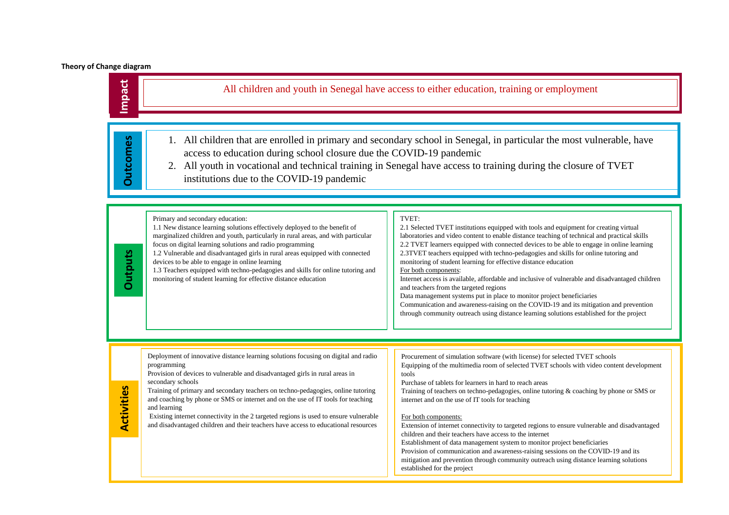#### **Theory of Change diagram**

| Impact            |                                                                                                                                                                                                                                                                                                                                                                                                                                                                                                                                                                               | All children and youth in Senegal have access to either education, training or employment                                                                                                                                                                                                                                                                                                                                                                                                                                                                                                                                                                                                                                                                                                                                                                                                |
|-------------------|-------------------------------------------------------------------------------------------------------------------------------------------------------------------------------------------------------------------------------------------------------------------------------------------------------------------------------------------------------------------------------------------------------------------------------------------------------------------------------------------------------------------------------------------------------------------------------|------------------------------------------------------------------------------------------------------------------------------------------------------------------------------------------------------------------------------------------------------------------------------------------------------------------------------------------------------------------------------------------------------------------------------------------------------------------------------------------------------------------------------------------------------------------------------------------------------------------------------------------------------------------------------------------------------------------------------------------------------------------------------------------------------------------------------------------------------------------------------------------|
| <b>Outcomes</b>   | access to education during school closure due the COVID-19 pandemic<br>institutions due to the COVID-19 pandemic                                                                                                                                                                                                                                                                                                                                                                                                                                                              | 1. All children that are enrolled in primary and secondary school in Senegal, in particular the most vulnerable, have<br>2. All youth in vocational and technical training in Senegal have access to training during the closure of TVET                                                                                                                                                                                                                                                                                                                                                                                                                                                                                                                                                                                                                                                 |
| <b>Outputs</b>    | Primary and secondary education:<br>1.1 New distance learning solutions effectively deployed to the benefit of<br>marginalized children and youth, particularly in rural areas, and with particular<br>focus on digital learning solutions and radio programming<br>1.2 Vulnerable and disadvantaged girls in rural areas equipped with connected<br>devices to be able to engage in online learning<br>1.3 Teachers equipped with techno-pedagogies and skills for online tutoring and<br>monitoring of student learning for effective distance education                    | TVET:<br>2.1 Selected TVET institutions equipped with tools and equipment for creating virtual<br>laboratories and video content to enable distance teaching of technical and practical skills<br>2.2 TVET learners equipped with connected devices to be able to engage in online learning<br>2.3TVET teachers equipped with techno-pedagogies and skills for online tutoring and<br>monitoring of student learning for effective distance education<br>For both components:<br>Internet access is available, affordable and inclusive of vulnerable and disadvantaged children<br>and teachers from the targeted regions<br>Data management systems put in place to monitor project beneficiaries<br>Communication and awareness-raising on the COVID-19 and its mitigation and prevention<br>through community outreach using distance learning solutions established for the project |
| <b>Activities</b> | Deployment of innovative distance learning solutions focusing on digital and radio<br>programming<br>Provision of devices to vulnerable and disadvantaged girls in rural areas in<br>secondary schools<br>Training of primary and secondary teachers on techno-pedagogies, online tutoring<br>and coaching by phone or SMS or internet and on the use of IT tools for teaching<br>and learning<br>Existing internet connectivity in the 2 targeted regions is used to ensure vulnerable<br>and disadvantaged children and their teachers have access to educational resources | Procurement of simulation software (with license) for selected TVET schools<br>Equipping of the multimedia room of selected TVET schools with video content development<br>tools<br>Purchase of tablets for learners in hard to reach areas<br>Training of teachers on techno-pedagogies, online tutoring & coaching by phone or SMS or<br>internet and on the use of IT tools for teaching<br>For both components:<br>Extension of internet connectivity to targeted regions to ensure vulnerable and disadvantaged                                                                                                                                                                                                                                                                                                                                                                     |

#### For both components:

Extension of internet connectivity to targeted regions to ensure vulnerable and disadvantaged children and their teachers have access to the internet Establishment of data management system to monitor project beneficiaries Provision of communication and awareness-raising sessions on the COVID-19 and its mitigation and prevention through community outreach using distance learning solutions established for the project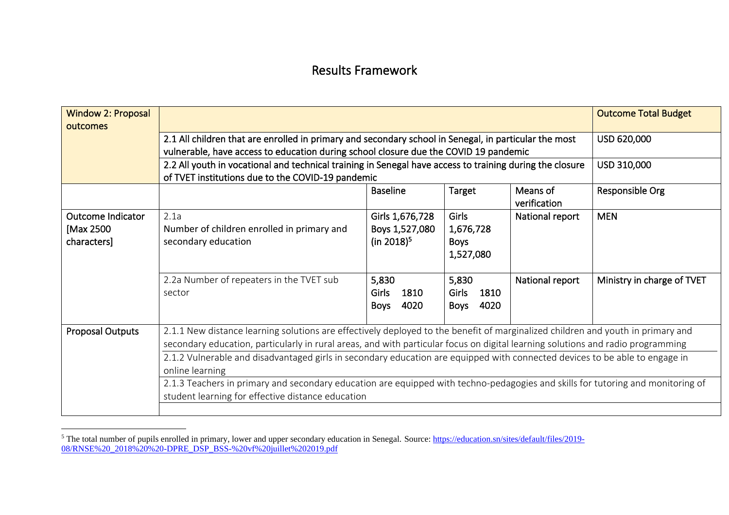### Results Framework

| <b>Window 2: Proposal</b> |                                                                                                                                 |                        |                      |                          | <b>Outcome Total Budget</b> |  |  |
|---------------------------|---------------------------------------------------------------------------------------------------------------------------------|------------------------|----------------------|--------------------------|-----------------------------|--|--|
| outcomes                  |                                                                                                                                 |                        |                      |                          |                             |  |  |
|                           | 2.1 All children that are enrolled in primary and secondary school in Senegal, in particular the most                           |                        |                      |                          | USD 620,000                 |  |  |
|                           | vulnerable, have access to education during school closure due the COVID 19 pandemic                                            |                        |                      |                          |                             |  |  |
|                           | 2.2 All youth in vocational and technical training in Senegal have access to training during the closure                        |                        |                      |                          | USD 310,000                 |  |  |
|                           | of TVET institutions due to the COVID-19 pandemic                                                                               |                        |                      |                          |                             |  |  |
|                           |                                                                                                                                 | <b>Baseline</b>        | Target               | Means of<br>verification | Responsible Org             |  |  |
| Outcome Indicator         | 2.1a                                                                                                                            | Girls 1,676,728        | Girls                | National report          | <b>MEN</b>                  |  |  |
| [Max 2500                 | Number of children enrolled in primary and                                                                                      | Boys 1,527,080         | 1,676,728            |                          |                             |  |  |
| characters]               | secondary education                                                                                                             | (in 2018) <sup>5</sup> | <b>Boys</b>          |                          |                             |  |  |
|                           |                                                                                                                                 |                        | 1,527,080            |                          |                             |  |  |
|                           |                                                                                                                                 |                        |                      |                          |                             |  |  |
|                           | 2.2a Number of repeaters in the TVET sub                                                                                        | 5,830                  | 5,830                | National report          | Ministry in charge of TVET  |  |  |
|                           | sector                                                                                                                          | Girls<br>1810          | <b>Girls</b><br>1810 |                          |                             |  |  |
|                           |                                                                                                                                 | 4020<br><b>Boys</b>    | 4020<br><b>Boys</b>  |                          |                             |  |  |
| <b>Proposal Outputs</b>   | 2.1.1 New distance learning solutions are effectively deployed to the benefit of marginalized children and youth in primary and |                        |                      |                          |                             |  |  |
|                           | secondary education, particularly in rural areas, and with particular focus on digital learning solutions and radio programming |                        |                      |                          |                             |  |  |
|                           |                                                                                                                                 |                        |                      |                          |                             |  |  |
|                           | 2.1.2 Vulnerable and disadvantaged girls in secondary education are equipped with connected devices to be able to engage in     |                        |                      |                          |                             |  |  |
|                           | online learning                                                                                                                 |                        |                      |                          |                             |  |  |
|                           | 2.1.3 Teachers in primary and secondary education are equipped with techno-pedagogies and skills for tutoring and monitoring of |                        |                      |                          |                             |  |  |
|                           | student learning for effective distance education                                                                               |                        |                      |                          |                             |  |  |
|                           |                                                                                                                                 |                        |                      |                          |                             |  |  |

<sup>&</sup>lt;sup>5</sup> The total number of pupils enrolled in primary, lower and upper secondary education in Senegal. Source: [https://education.sn/sites/default/files/2019-](https://education.sn/sites/default/files/2019-08/RNSE%20_2018%20%20-DPRE_DSP_BSS-%20vf%20juillet%202019.pdf) [08/RNSE%20\\_2018%20%20-DPRE\\_DSP\\_BSS-%20vf%20juillet%202019.pdf](https://education.sn/sites/default/files/2019-08/RNSE%20_2018%20%20-DPRE_DSP_BSS-%20vf%20juillet%202019.pdf)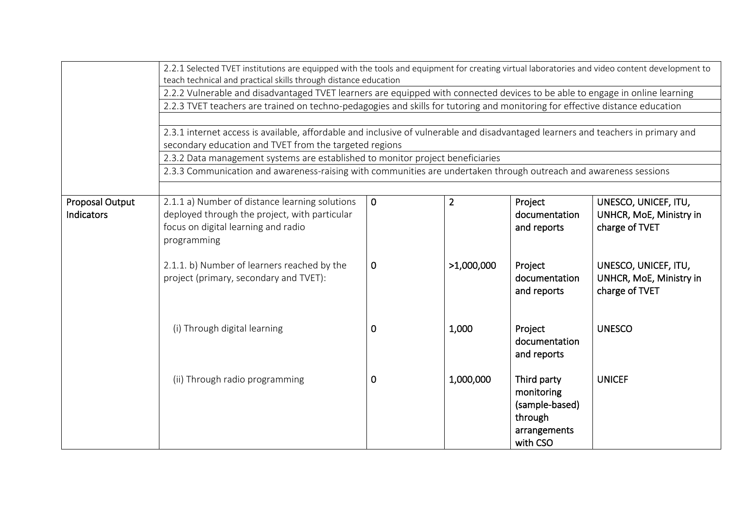|                                      | 2.2.1 Selected TVET institutions are equipped with the tools and equipment for creating virtual laboratories and video content development to<br>teach technical and practical skills through distance education<br>2.2.2 Vulnerable and disadvantaged TVET learners are equipped with connected devices to be able to engage in online learning<br>2.2.3 TVET teachers are trained on techno-pedagogies and skills for tutoring and monitoring for effective distance education<br>2.3.1 internet access is available, affordable and inclusive of vulnerable and disadvantaged learners and teachers in primary and<br>secondary education and TVET from the targeted regions<br>2.3.2 Data management systems are established to monitor project beneficiaries |                   |                              |                                                                                    |                                                                                                                                        |  |  |  |
|--------------------------------------|-------------------------------------------------------------------------------------------------------------------------------------------------------------------------------------------------------------------------------------------------------------------------------------------------------------------------------------------------------------------------------------------------------------------------------------------------------------------------------------------------------------------------------------------------------------------------------------------------------------------------------------------------------------------------------------------------------------------------------------------------------------------|-------------------|------------------------------|------------------------------------------------------------------------------------|----------------------------------------------------------------------------------------------------------------------------------------|--|--|--|
|                                      | 2.3.3 Communication and awareness-raising with communities are undertaken through outreach and awareness sessions                                                                                                                                                                                                                                                                                                                                                                                                                                                                                                                                                                                                                                                 |                   |                              |                                                                                    |                                                                                                                                        |  |  |  |
| <b>Proposal Output</b><br>Indicators | 2.1.1 a) Number of distance learning solutions<br>deployed through the project, with particular<br>focus on digital learning and radio<br>programming<br>2.1.1. b) Number of learners reached by the<br>project (primary, secondary and TVET):                                                                                                                                                                                                                                                                                                                                                                                                                                                                                                                    | $\mathbf{0}$<br>0 | $\overline{2}$<br>>1,000,000 | Project<br>documentation<br>and reports<br>Project<br>documentation<br>and reports | UNESCO, UNICEF, ITU,<br>UNHCR, MoE, Ministry in<br>charge of TVET<br>UNESCO, UNICEF, ITU,<br>UNHCR, MoE, Ministry in<br>charge of TVET |  |  |  |
|                                      | (i) Through digital learning                                                                                                                                                                                                                                                                                                                                                                                                                                                                                                                                                                                                                                                                                                                                      | 0                 | 1,000                        | Project<br>documentation<br>and reports                                            | <b>UNESCO</b>                                                                                                                          |  |  |  |
|                                      | (ii) Through radio programming                                                                                                                                                                                                                                                                                                                                                                                                                                                                                                                                                                                                                                                                                                                                    | 0                 | 1,000,000                    | Third party<br>monitoring<br>(sample-based)<br>through<br>arrangements<br>with CSO | <b>UNICEF</b>                                                                                                                          |  |  |  |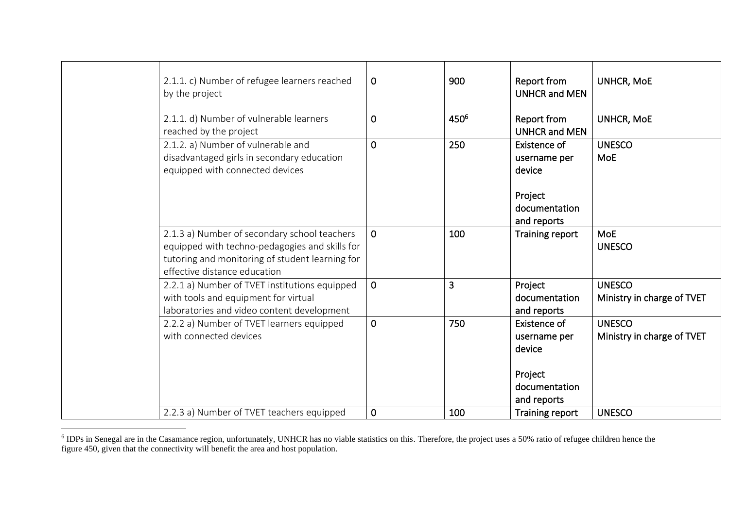| 2.1.1. c) Number of refugee learners reached<br>by the project                                                                                                                    | $\mathbf 0$    | 900              | Report from<br><b>UNHCR and MEN</b>                                               | <b>UNHCR, MoE</b>                           |
|-----------------------------------------------------------------------------------------------------------------------------------------------------------------------------------|----------------|------------------|-----------------------------------------------------------------------------------|---------------------------------------------|
| 2.1.1. d) Number of vulnerable learners<br>reached by the project                                                                                                                 | $\mathbf 0$    | 450 <sup>6</sup> | Report from<br><b>UNHCR and MEN</b>                                               | <b>UNHCR, MoE</b>                           |
| 2.1.2. a) Number of vulnerable and<br>disadvantaged girls in secondary education<br>equipped with connected devices                                                               | $\mathbf 0$    | 250              | Existence of<br>username per<br>device<br>Project<br>documentation<br>and reports | <b>UNESCO</b><br><b>MoE</b>                 |
| 2.1.3 a) Number of secondary school teachers<br>equipped with techno-pedagogies and skills for<br>tutoring and monitoring of student learning for<br>effective distance education | $\mathbf 0$    | 100              | Training report                                                                   | <b>MoE</b><br><b>UNESCO</b>                 |
| 2.2.1 a) Number of TVET institutions equipped<br>with tools and equipment for virtual<br>laboratories and video content development                                               | $\overline{0}$ | 3                | Project<br>documentation<br>and reports                                           | <b>UNESCO</b><br>Ministry in charge of TVET |
| 2.2.2 a) Number of TVET learners equipped<br>with connected devices                                                                                                               | $\mathbf 0$    | 750              | Existence of<br>username per<br>device<br>Project<br>documentation<br>and reports | <b>UNESCO</b><br>Ministry in charge of TVET |
| 2.2.3 a) Number of TVET teachers equipped                                                                                                                                         | $\mathbf 0$    | 100              | <b>Training report</b>                                                            | <b>UNESCO</b>                               |

<sup>&</sup>lt;sup>6</sup> IDPs in Senegal are in the Casamance region, unfortunately, UNHCR has no viable statistics on this. Therefore, the project uses a 50% ratio of refugee children hence the figure 450, given that the connectivity will benefit the area and host population.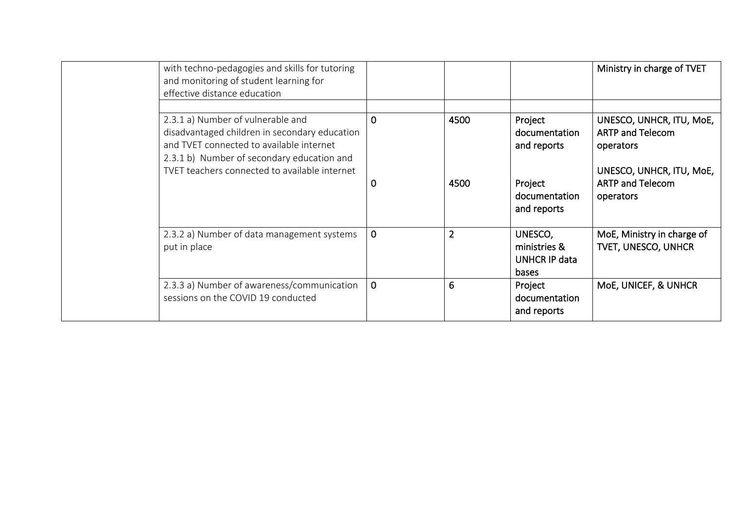| with techno-pedagogies and skills for tutoring<br>and monitoring of student learning for<br>effective distance education                                                                                                      |                  |                |                                                                                    | Ministry in charge of TVET                                                                                                           |
|-------------------------------------------------------------------------------------------------------------------------------------------------------------------------------------------------------------------------------|------------------|----------------|------------------------------------------------------------------------------------|--------------------------------------------------------------------------------------------------------------------------------------|
| 2.3.1 a) Number of vulnerable and<br>disadvantaged children in secondary education<br>and TVET connected to available internet<br>2.3.1 b) Number of secondary education and<br>TVET teachers connected to available internet | $\mathbf 0$<br>0 | 4500<br>4500   | Project<br>documentation<br>and reports<br>Project<br>documentation<br>and reports | UNESCO, UNHCR, ITU, MoE,<br><b>ARTP and Telecom</b><br>operators<br>UNESCO, UNHCR, ITU, MoE,<br><b>ARTP and Telecom</b><br>operators |
| 2.3.2 a) Number of data management systems<br>put in place                                                                                                                                                                    | $\mathbf 0$      | $\overline{2}$ | UNESCO,<br>ministries &<br>UNHCR IP data<br><b>bases</b>                           | MoE, Ministry in charge of<br><b>TVET, UNESCO, UNHCR</b>                                                                             |
| 2.3.3 a) Number of awareness/communication<br>sessions on the COVID 19 conducted                                                                                                                                              | $\mathbf 0$      | 6              | Project<br>documentation<br>and reports                                            | MoE, UNICEF, & UNHCR                                                                                                                 |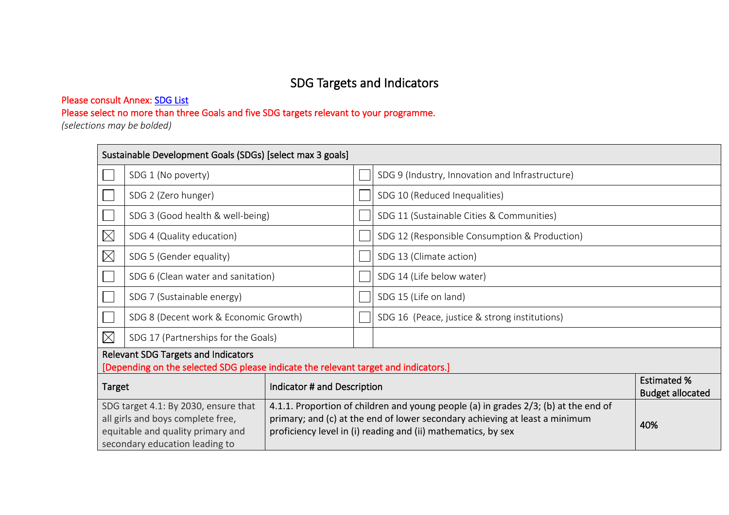# SDG Targets and Indicators

### Please consult Annex: SDG List

Please select no more than three Goals and five SDG targets relevant to your programme.

*(selections may be bolded)* 

|                                                                                                                                                                                                                                                                                                                                                                                         | Sustainable Development Goals (SDGs) [select max 3 goals]                                                                  |  |  |                                                 |                                               |  |  |
|-----------------------------------------------------------------------------------------------------------------------------------------------------------------------------------------------------------------------------------------------------------------------------------------------------------------------------------------------------------------------------------------|----------------------------------------------------------------------------------------------------------------------------|--|--|-------------------------------------------------|-----------------------------------------------|--|--|
|                                                                                                                                                                                                                                                                                                                                                                                         | SDG 1 (No poverty)                                                                                                         |  |  | SDG 9 (Industry, Innovation and Infrastructure) |                                               |  |  |
|                                                                                                                                                                                                                                                                                                                                                                                         | SDG 2 (Zero hunger)                                                                                                        |  |  | SDG 10 (Reduced Inequalities)                   |                                               |  |  |
|                                                                                                                                                                                                                                                                                                                                                                                         | SDG 3 (Good health & well-being)                                                                                           |  |  | SDG 11 (Sustainable Cities & Communities)       |                                               |  |  |
| $\boxtimes$                                                                                                                                                                                                                                                                                                                                                                             | SDG 4 (Quality education)                                                                                                  |  |  | SDG 12 (Responsible Consumption & Production)   |                                               |  |  |
| $\boxtimes$                                                                                                                                                                                                                                                                                                                                                                             | SDG 5 (Gender equality)                                                                                                    |  |  | SDG 13 (Climate action)                         |                                               |  |  |
|                                                                                                                                                                                                                                                                                                                                                                                         | SDG 6 (Clean water and sanitation)                                                                                         |  |  | SDG 14 (Life below water)                       |                                               |  |  |
|                                                                                                                                                                                                                                                                                                                                                                                         | SDG 7 (Sustainable energy)                                                                                                 |  |  | SDG 15 (Life on land)                           |                                               |  |  |
|                                                                                                                                                                                                                                                                                                                                                                                         | SDG 8 (Decent work & Economic Growth)                                                                                      |  |  | SDG 16 (Peace, justice & strong institutions)   |                                               |  |  |
| $\boxtimes$                                                                                                                                                                                                                                                                                                                                                                             | SDG 17 (Partnerships for the Goals)                                                                                        |  |  |                                                 |                                               |  |  |
|                                                                                                                                                                                                                                                                                                                                                                                         | Relevant SDG Targets and Indicators<br>[Depending on the selected SDG please indicate the relevant target and indicators.] |  |  |                                                 |                                               |  |  |
|                                                                                                                                                                                                                                                                                                                                                                                         | Indicator # and Description<br><b>Target</b>                                                                               |  |  |                                                 | <b>Estimated %</b><br><b>Budget allocated</b> |  |  |
| 4.1.1. Proportion of children and young people (a) in grades 2/3; (b) at the end of<br>SDG target 4.1: By 2030, ensure that<br>primary; and (c) at the end of lower secondary achieving at least a minimum<br>all girls and boys complete free,<br>equitable and quality primary and<br>proficiency level in (i) reading and (ii) mathematics, by sex<br>secondary education leading to |                                                                                                                            |  |  | 40%                                             |                                               |  |  |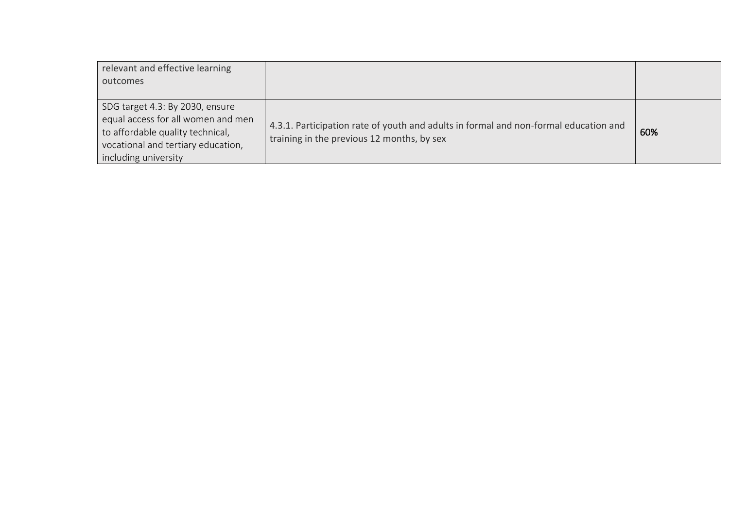| relevant and effective learning    |                                                                                      |     |
|------------------------------------|--------------------------------------------------------------------------------------|-----|
| outcomes                           |                                                                                      |     |
|                                    |                                                                                      |     |
| SDG target 4.3: By 2030, ensure    |                                                                                      |     |
| equal access for all women and men | 4.3.1. Participation rate of youth and adults in formal and non-formal education and |     |
| to affordable quality technical,   | training in the previous 12 months, by sex                                           | 60% |
| vocational and tertiary education, |                                                                                      |     |
| including university               |                                                                                      |     |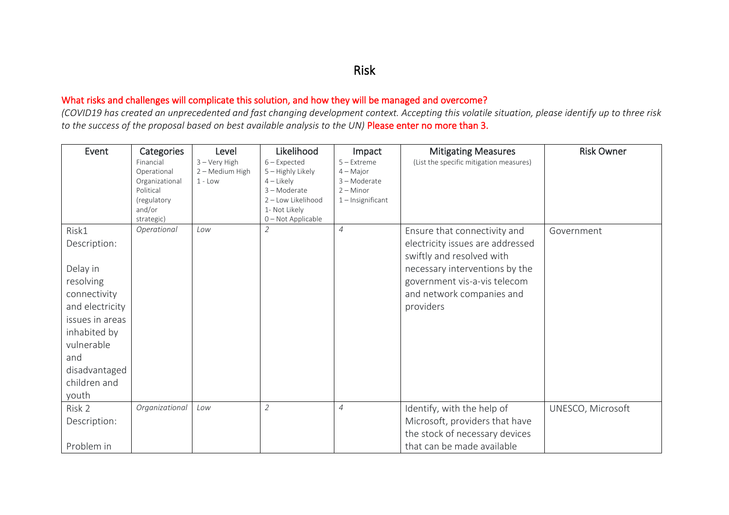### Risk

### What risks and challenges will complicate this solution, and how they will be managed and overcome?

*(COVID19 has created an unprecedented and fast changing development context. Accepting this volatile situation, please identify up to three risk to the success of the proposal based on best available analysis to the UN)* Please enter no more than 3.

| Event                                                                                                                                                                               | Categories<br>Financial<br>Operational<br>Organizational<br>Political<br>(regulatory<br>and/or<br>strategic) | Level<br>$3 -$ Very High<br>2 - Medium High<br>$1 - Low$ | Likelihood<br>$6$ – Expected<br>5 - Highly Likely<br>$4$ – Likely<br>3 - Moderate<br>2 - Low Likelihood<br>1- Not Likely<br>0-Not Applicable | Impact<br>$5 -$ Extreme<br>$4 - Major$<br>3-Moderate<br>$2 -$ Minor<br>$1$ – Insignificant | <b>Mitigating Measures</b><br>(List the specific mitigation measures)                                                                                                                                     | <b>Risk Owner</b> |
|-------------------------------------------------------------------------------------------------------------------------------------------------------------------------------------|--------------------------------------------------------------------------------------------------------------|----------------------------------------------------------|----------------------------------------------------------------------------------------------------------------------------------------------|--------------------------------------------------------------------------------------------|-----------------------------------------------------------------------------------------------------------------------------------------------------------------------------------------------------------|-------------------|
| Risk1<br>Description:<br>Delay in<br>resolving<br>connectivity<br>and electricity<br>issues in areas<br>inhabited by<br>vulnerable<br>and<br>disadvantaged<br>children and<br>youth | Operational                                                                                                  | Low                                                      | $\mathcal{Z}_{\mathcal{C}}$                                                                                                                  | $\overline{4}$                                                                             | Ensure that connectivity and<br>electricity issues are addressed<br>swiftly and resolved with<br>necessary interventions by the<br>government vis-a-vis telecom<br>and network companies and<br>providers | Government        |
| Risk 2<br>Description:<br>Problem in                                                                                                                                                | Organizational                                                                                               | Low                                                      | $\overline{2}$                                                                                                                               | $\overline{4}$                                                                             | Identify, with the help of<br>Microsoft, providers that have<br>the stock of necessary devices<br>that can be made available                                                                              | UNESCO, Microsoft |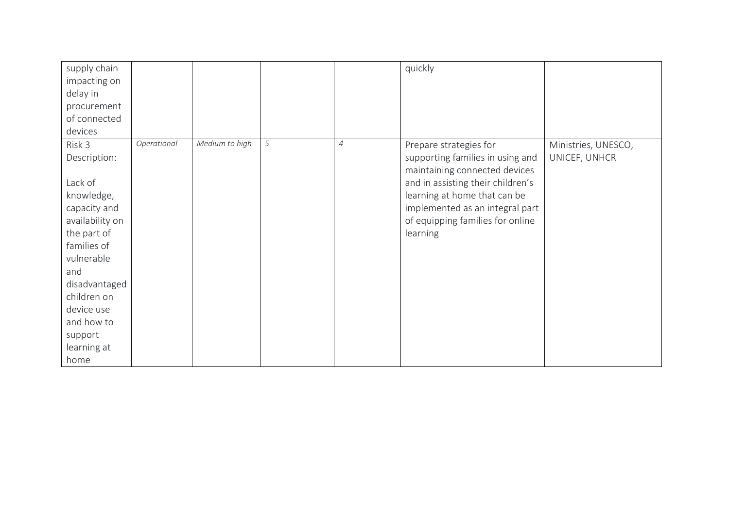| supply chain    |             |                |   |                | quickly                           |                     |
|-----------------|-------------|----------------|---|----------------|-----------------------------------|---------------------|
| impacting on    |             |                |   |                |                                   |                     |
| delay in        |             |                |   |                |                                   |                     |
| procurement     |             |                |   |                |                                   |                     |
| of connected    |             |                |   |                |                                   |                     |
| devices         |             |                |   |                |                                   |                     |
| Risk 3          | Operational | Medium to high | 5 | $\overline{4}$ | Prepare strategies for            | Ministries, UNESCO, |
| Description:    |             |                |   |                | supporting families in using and  | UNICEF, UNHCR       |
|                 |             |                |   |                | maintaining connected devices     |                     |
| Lack of         |             |                |   |                | and in assisting their children's |                     |
| knowledge,      |             |                |   |                | learning at home that can be      |                     |
| capacity and    |             |                |   |                | implemented as an integral part   |                     |
| availability on |             |                |   |                | of equipping families for online  |                     |
| the part of     |             |                |   |                | learning                          |                     |
| families of     |             |                |   |                |                                   |                     |
| vulnerable      |             |                |   |                |                                   |                     |
| and             |             |                |   |                |                                   |                     |
| disadvantaged   |             |                |   |                |                                   |                     |
| children on     |             |                |   |                |                                   |                     |
| device use      |             |                |   |                |                                   |                     |
| and how to      |             |                |   |                |                                   |                     |
| support         |             |                |   |                |                                   |                     |
| learning at     |             |                |   |                |                                   |                     |
| home            |             |                |   |                |                                   |                     |